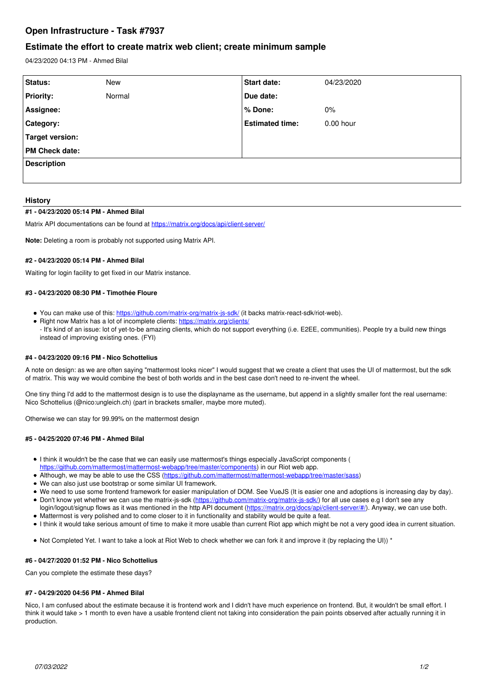# **Open Infrastructure - Task #7937**

## **Estimate the effort to create matrix web client; create minimum sample**

04/23/2020 04:13 PM - Ahmed Bilal

| Status:               | <b>New</b> | Start date:            | 04/23/2020 |
|-----------------------|------------|------------------------|------------|
| <b>Priority:</b>      | Normal     | Due date:              |            |
| Assignee:             |            | % Done:                | $0\%$      |
| Category:             |            | <b>Estimated time:</b> | 0.00 hour  |
| Target version:       |            |                        |            |
| <b>PM Check date:</b> |            |                        |            |
| <b>Description</b>    |            |                        |            |
|                       |            |                        |            |

## **History**

## **#1 - 04/23/2020 05:14 PM - Ahmed Bilal**

Matrix API documentations can be found at<https://matrix.org/docs/api/client-server/>

**Note:** Deleting a room is probably not supported using Matrix API.

### **#2 - 04/23/2020 05:14 PM - Ahmed Bilal**

Waiting for login facility to get fixed in our Matrix instance.

### **#3 - 04/23/2020 08:30 PM - Timothée Floure**

- You can make use of this:<https://github.com/matrix-org/matrix-js-sdk/> (it backs matrix-react-sdk/riot-web).
- Right now Matrix has a lot of incomplete clients:<https://matrix.org/clients/>
- It's kind of an issue: lot of yet-to-be amazing clients, which do not support everything (i.e. E2EE, communities). People try a build new things instead of improving existing ones. (FYI)

## **#4 - 04/23/2020 09:16 PM - Nico Schottelius**

A note on design: as we are often saying "mattermost looks nicer" I would suggest that we create a client that uses the UI of mattermost, but the sdk of matrix. This way we would combine the best of both worlds and in the best case don't need to re-invent the wheel.

One tiny thing I'd add to the mattermost design is to use the displayname as the username, but append in a slightly smaller font the real username: Nico Schottelius (@nico:ungleich.ch) (part in brackets smaller, maybe more muted).

Otherwise we can stay for 99.99% on the mattermost design

#### **#5 - 04/25/2020 07:46 PM - Ahmed Bilal**

- I think it wouldn't be the case that we can easily use mattermost's things especially JavaScript components ( [https://github.com/mattermost/mattermost-webapp/tree/master/components\)](https://github.com/mattermost/mattermost-webapp/tree/master/components) in our Riot web app.
- Although, we may be able to use the CSS ([https://github.com/mattermost/mattermost-webapp/tree/master/sass\)](https://github.com/mattermost/mattermost-webapp/tree/master/sass)
- We can also just use bootstrap or some similar UI framework.
- We need to use some frontend framework for easier manipulation of DOM. See VueJS (It is easier one and adoptions is increasing day by day).
- Don't know yet whether we can use the matrix-js-sdk [\(https://github.com/matrix-org/matrix-js-sdk/](https://github.com/matrix-org/matrix-js-sdk/)) for all use cases e.g I don't see any login/logout/signup flows as it was mentioned in the http API document (<https://matrix.org/docs/api/client-server/#/>). Anyway, we can use both.
- Mattermost is very polished and to come closer to it in functionality and stability would be quite a feat.
- I think it would take serious amount of time to make it more usable than current Riot app which might be not a very good idea in current situation.
- Not Completed Yet. I want to take a look at Riot Web to check whether we can fork it and improve it (by replacing the UI)) \*

#### **#6 - 04/27/2020 01:52 PM - Nico Schottelius**

Can you complete the estimate these days?

#### **#7 - 04/29/2020 04:56 PM - Ahmed Bilal**

Nico, I am confused about the estimate because it is frontend work and I didn't have much experience on frontend. But, it wouldn't be small effort, I think it would take > 1 month to even have a usable frontend client not taking into consideration the pain points observed after actually running it in production.